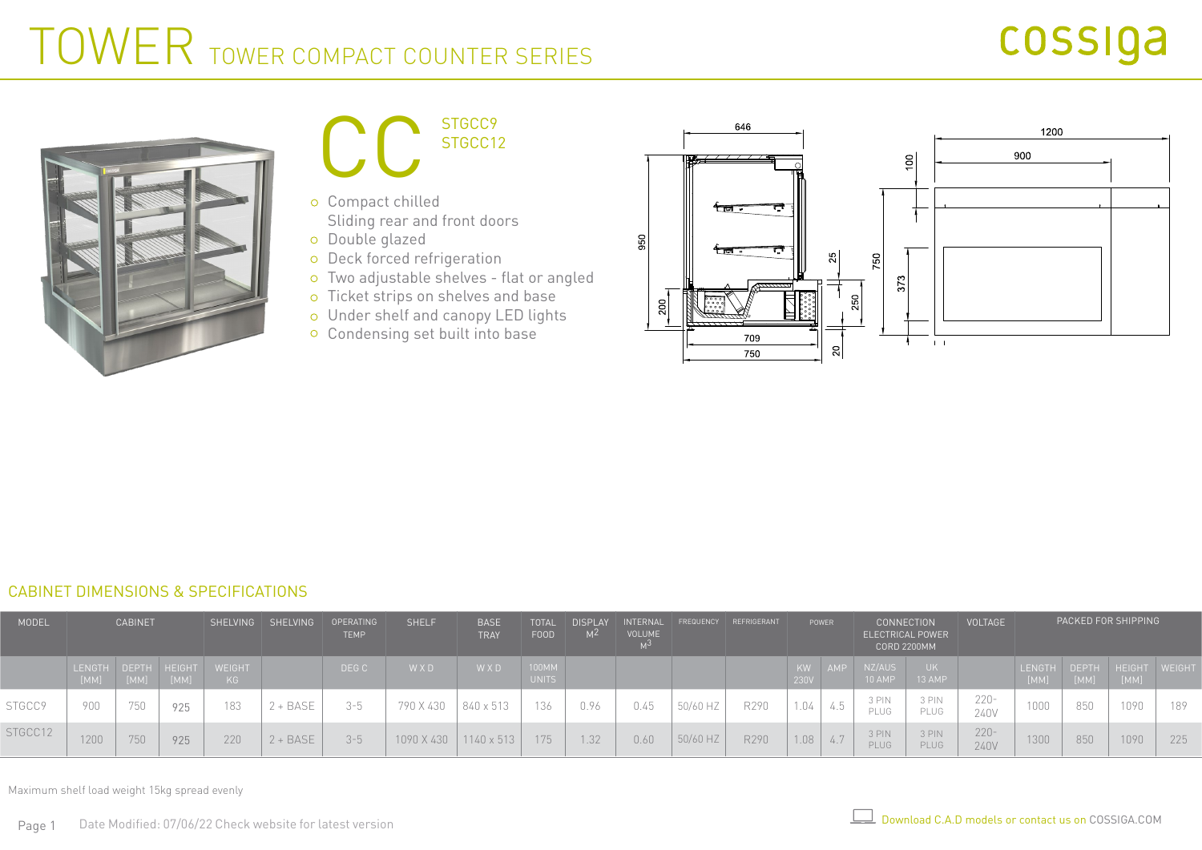# cossiga

# TOWER TOWER COMPACT COUNTER SERIES





- Compact chilled Sliding rear and front doors
- Double glazed
- o Deck forced refrigeration
- Two adjustable shelves flat or angled
- o Ticket strips on shelves and base
- Under shelf and canopy LED lights
- Condensing set built into base



#### CABINET DIMENSIONS & SPECIFICATIONS

| MODEL   | <b>CABINET</b>              |      |      |              | SHELVING SHELVING | OPERATING<br><b>TEMP</b> | <b>SHELF</b> | <b>BASE</b><br><b>TRAY</b> | <b>TOTAL</b><br>FOOD  | <b>DISPLAY</b><br>M <sup>2</sup> | INTERNAL<br>VOLUME |          | FREQUENCY REFRIGERANT<br>POWER |            | <b>CONNECTION</b><br><b>ELECTRICAL POWER</b><br><b>CORD 2200MM</b> |                  | <b>VOLTAGE</b> |                 | PACKED FOR SHIPPING |      |                                    |     |
|---------|-----------------------------|------|------|--------------|-------------------|--------------------------|--------------|----------------------------|-----------------------|----------------------------------|--------------------|----------|--------------------------------|------------|--------------------------------------------------------------------|------------------|----------------|-----------------|---------------------|------|------------------------------------|-----|
|         | LENGTH DEPTH HEIGHT<br>[MM] | [MM] | [MM] | WEIGHT<br>KG |                   | DEG C                    | WXD          | WXD                        | 100MM<br><b>UNITS</b> |                                  |                    |          |                                | KW<br>230V | AMP                                                                | NZ/AUS<br>10 AMP | UK.<br>13 AMP  |                 |                     | [MM] | LENGTH DEPTH HEIGHT WEIGHT<br>[MM] |     |
| STGCC9  | 900                         | 750  | 925  | 183          | + BASE            | $3 - 5$                  | 790 X 430    | 840 x 513                  | 136                   | 0.96                             | 0.45               | 50/60 HZ | R290                           | 1.04       | 4.5                                                                | 3 PIN<br>PLUG    | 3 PIN<br>PLUG  | $220 -$<br>240V | 1000                | 850  | 1090                               | 189 |
| STGCC12 | 1200                        | 750  | 925  | 220          | $2 + BASE$        | $3 - 5$                  | 1090 X 430   | 1140 x 513                 | 175                   | 1.32                             | 0.60               | 50/60 HZ | R290                           | 1.08       | 4.7                                                                | 3 PIN<br>PLUG    | 3 PIN<br>PLUG  | $220 -$<br>240V | 1300                | 850  | 1090                               | 225 |

Maximum shelf load weight 15kg spread evenly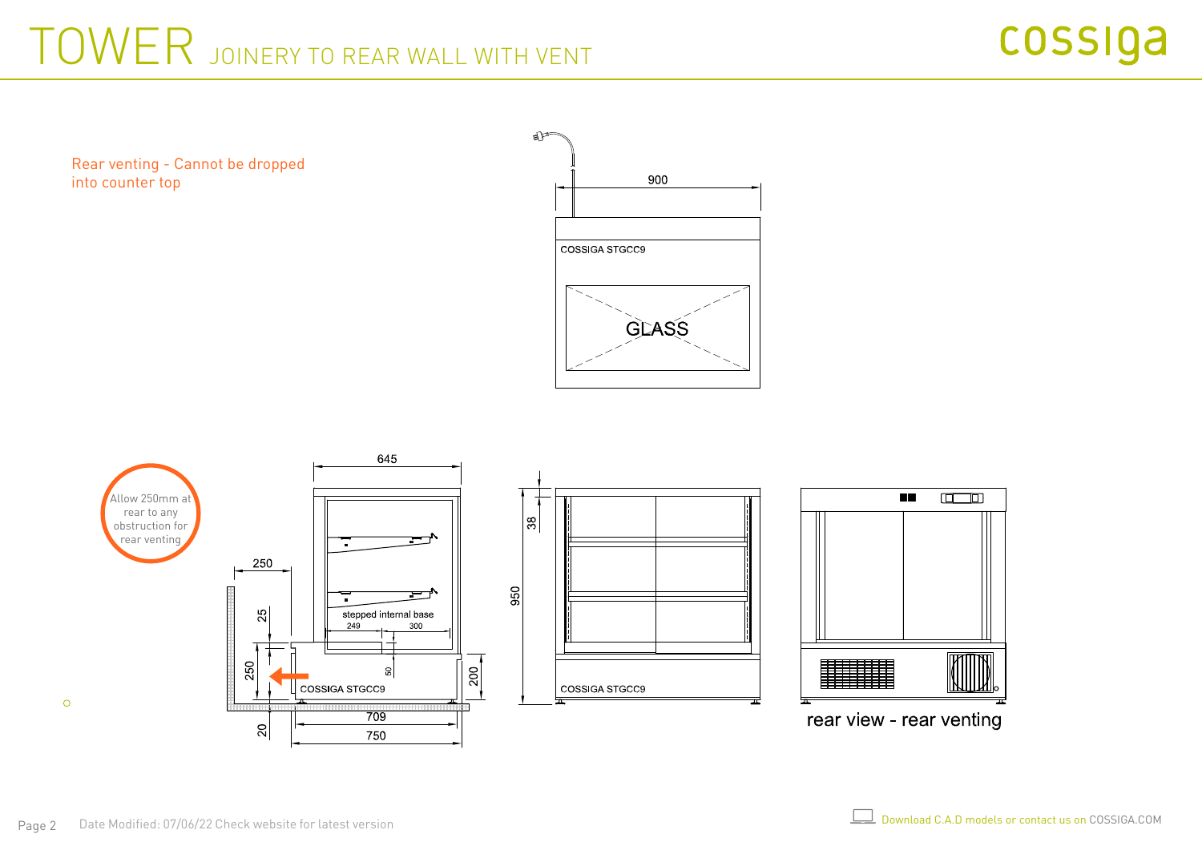# TOWER JOINERY TO REAR WALL WITH VENT

Rear venting - Cannot be dropped into counter top



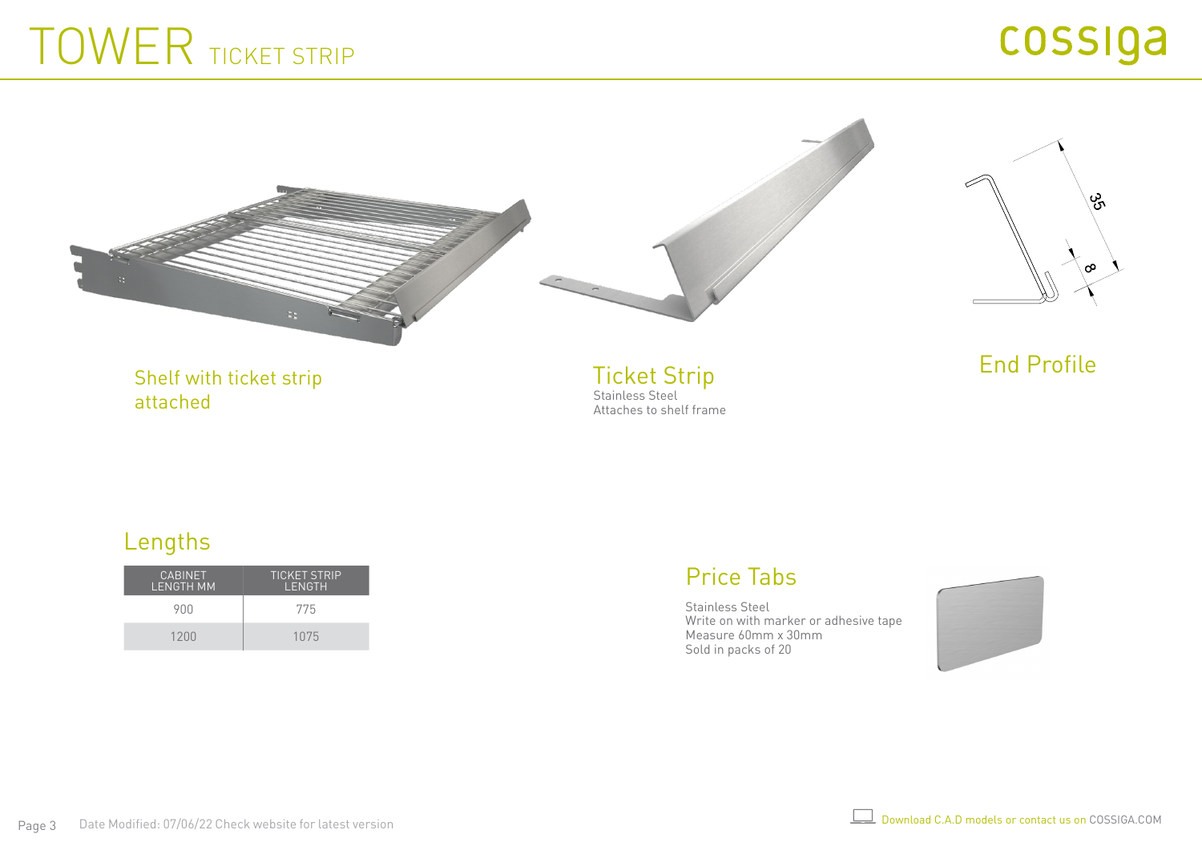# TOWER TICKET STRIP



Shelf with ticket strip attached

Ticket Strip Stainless Steel Attaches to shelf frame End Profile

#### Lengths

| <b>CABINET</b><br>LENGTH MM | <b>TICKET STRIP</b><br>LENGTH |
|-----------------------------|-------------------------------|
| 900                         | 775                           |
| 1200                        | 1075                          |

### Price Tabs

Stainless Steel Write on with marker or adhesive tape Measure 60mm x 30mm Sold in packs of 20

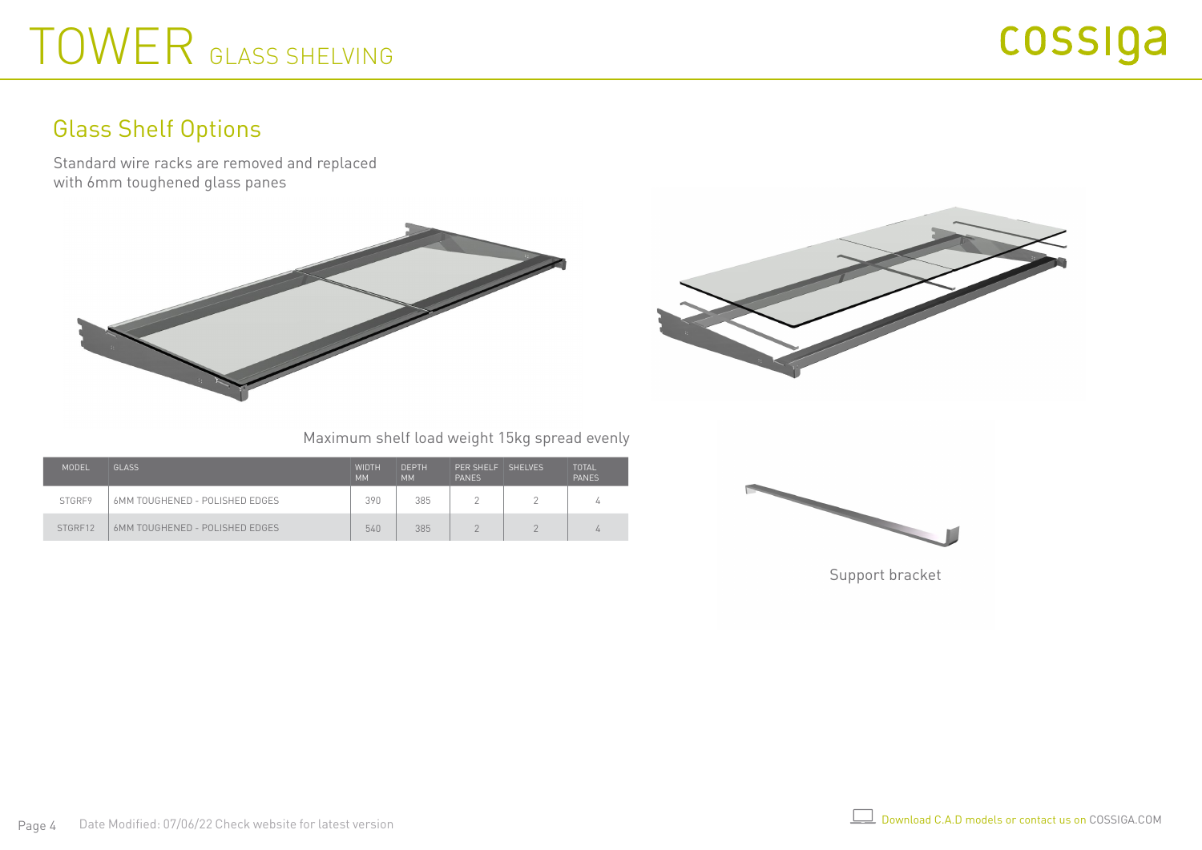# TOWER GLASS SHELVING

### Glass Shelf Options

Standard wire racks are removed and replaced with 6mm toughened glass panes





Maximum shelf load weight 15kg spread evenly

| MODEL   | <b>GLASS</b>                   | <b>WIDTH</b><br><b>MM</b> | <b>DEPTH</b><br><b>MM</b> | PFR SHELF<br><b>PANES</b> | SHEI VES | TOTAL<br><b>PANES</b> |
|---------|--------------------------------|---------------------------|---------------------------|---------------------------|----------|-----------------------|
| STGRF9  | 6MM TOUGHENED - POLISHED EDGES | 390                       | 385                       |                           |          |                       |
| STGRE12 | 6MM TOUGHENED - POLISHED EDGES | 540                       | 385                       | $\sqrt{2}$                | $\cap$   |                       |



Support bracket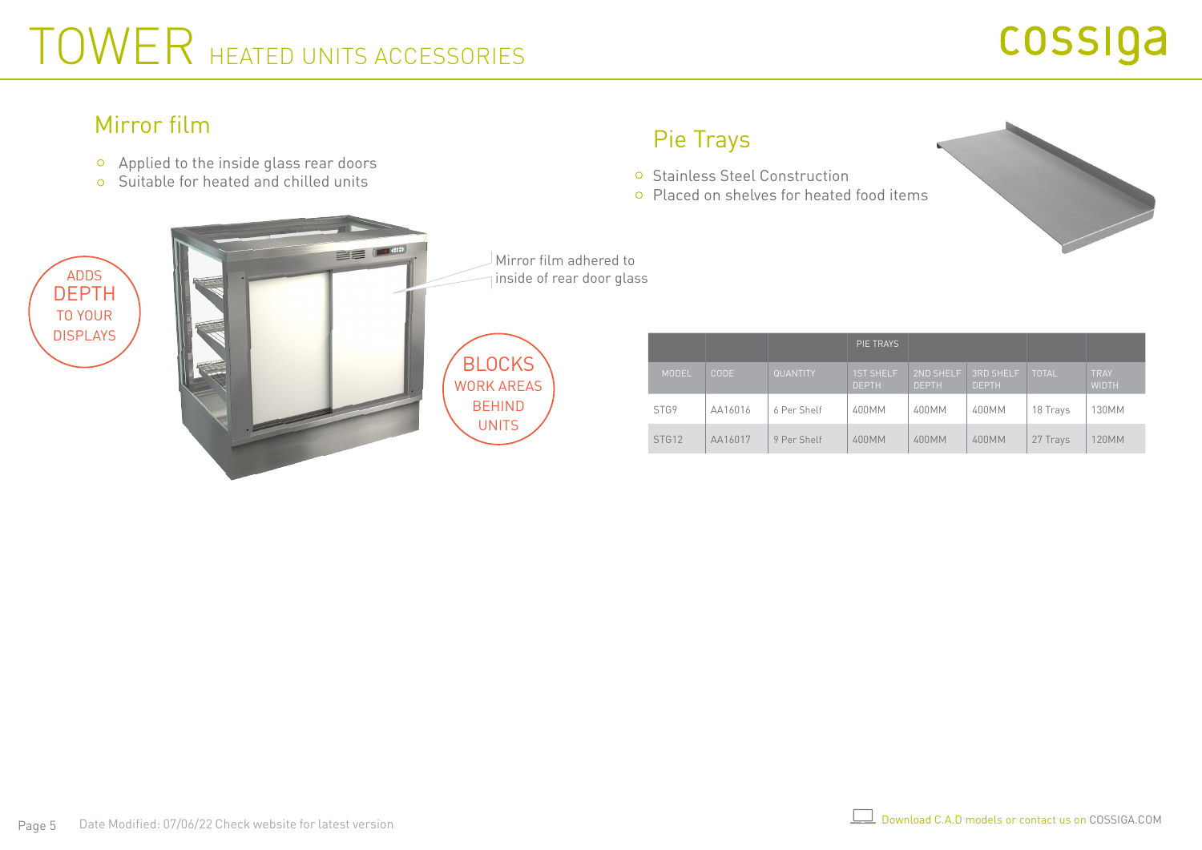# TOWER HEATED UNITS ACCESSORIES

### Mirror film

- Applied to the inside glass rear doors
- Suitable for heated and chilled units

### Pie Trays

- o Stainless Steel Construction
- Placed on shelves for heated food items



TOTAL TRAY